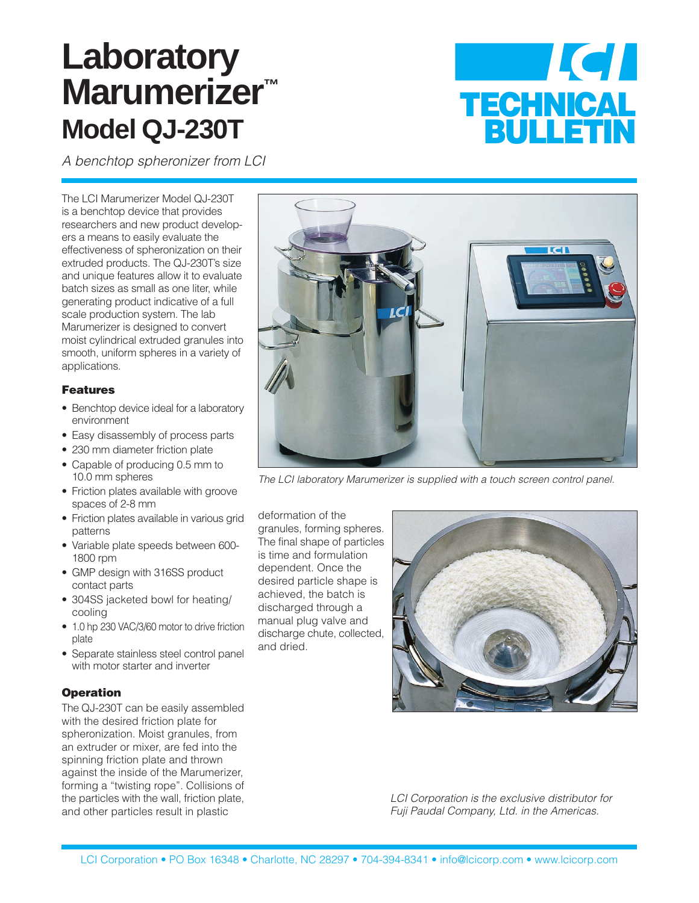## **Laboratory Marumerizer™ Model QJ-230T**



A benchtop spheronizer from LCI

The LCI Marumerizer Model QJ-230T is a benchtop device that provides researchers and new product developers a means to easily evaluate the effectiveness of spheronization on their extruded products. The QJ-230T's size and unique features allow it to evaluate batch sizes as small as one liter, while generating product indicative of a full scale production system. The lab Marumerizer is designed to convert moist cylindrical extruded granules into smooth, uniform spheres in a variety of applications.

## Features

- Benchtop device ideal for a laboratory environment
- Easy disassembly of process parts
- 230 mm diameter friction plate
- Capable of producing 0.5 mm to 10.0 mm spheres
- Friction plates available with groove spaces of 2-8 mm
- Friction plates available in various grid patterns
- Variable plate speeds between 600- 1800 rpm
- GMP design with 316SS product contact parts
- 304SS jacketed bowl for heating/ cooling
- 1.0 hp 230 VAC/3/60 motor to drive friction plate
- Separate stainless steel control panel with motor starter and inverter

## **Operation**

The QJ-230T can be easily assembled with the desired friction plate for spheronization. Moist granules, from an extruder or mixer, are fed into the spinning friction plate and thrown against the inside of the Marumerizer, forming a "twisting rope". Collisions of the particles with the wall, friction plate, and other particles result in plastic



The LCI laboratory Marumerizer is supplied with a touch screen control panel.

deformation of the granules, forming spheres. The final shape of particles is time and formulation dependent. Once the desired particle shape is achieved, the batch is discharged through a manual plug valve and discharge chute, collected, and dried.



LCI Corporation is the exclusive distributor for Fuji Paudal Company, Ltd. in the Americas.